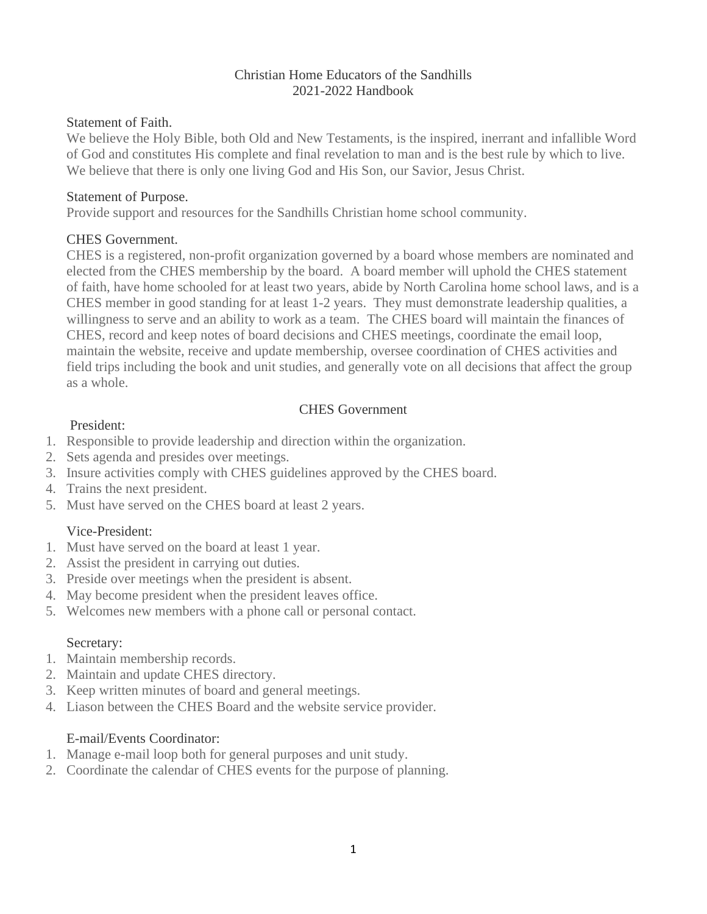#### Christian Home Educators of the Sandhills 2021-2022 Handbook

#### Statement of Faith.

We believe the Holy Bible, both Old and New Testaments, is the inspired, inerrant and infallible Word of God and constitutes His complete and final revelation to man and is the best rule by which to live. We believe that there is only one living God and His Son, our Savior, Jesus Christ.

#### Statement of Purpose.

Provide support and resources for the Sandhills Christian home school community.

## CHES Government.

CHES is a registered, non-profit organization governed by a board whose members are nominated and elected from the CHES membership by the board. A board member will uphold the CHES statement of faith, have home schooled for at least two years, abide by North Carolina home school laws, and is a CHES member in good standing for at least 1-2 years. They must demonstrate leadership qualities, a willingness to serve and an ability to work as a team. The CHES board will maintain the finances of CHES, record and keep notes of board decisions and CHES meetings, coordinate the email loop, maintain the website, receive and update membership, oversee coordination of CHES activities and field trips including the book and unit studies, and generally vote on all decisions that affect the group as a whole.

# CHES Government

## President:

- 1. Responsible to provide leadership and direction within the organization.
- 2. Sets agenda and presides over meetings.
- 3. Insure activities comply with CHES guidelines approved by the CHES board.
- 4. Trains the next president.
- 5. Must have served on the CHES board at least 2 years.

# Vice-President:

- 1. Must have served on the board at least 1 year.
- 2. Assist the president in carrying out duties.
- 3. Preside over meetings when the president is absent.
- 4. May become president when the president leaves office.
- 5. Welcomes new members with a phone call or personal contact.

### Secretary:

- 1. Maintain membership records.
- 2. Maintain and update CHES directory.
- 3. Keep written minutes of board and general meetings.
- 4. Liason between the CHES Board and the website service provider.

### E-mail/Events Coordinator:

- 1. Manage e-mail loop both for general purposes and unit study.
- 2. Coordinate the calendar of CHES events for the purpose of planning.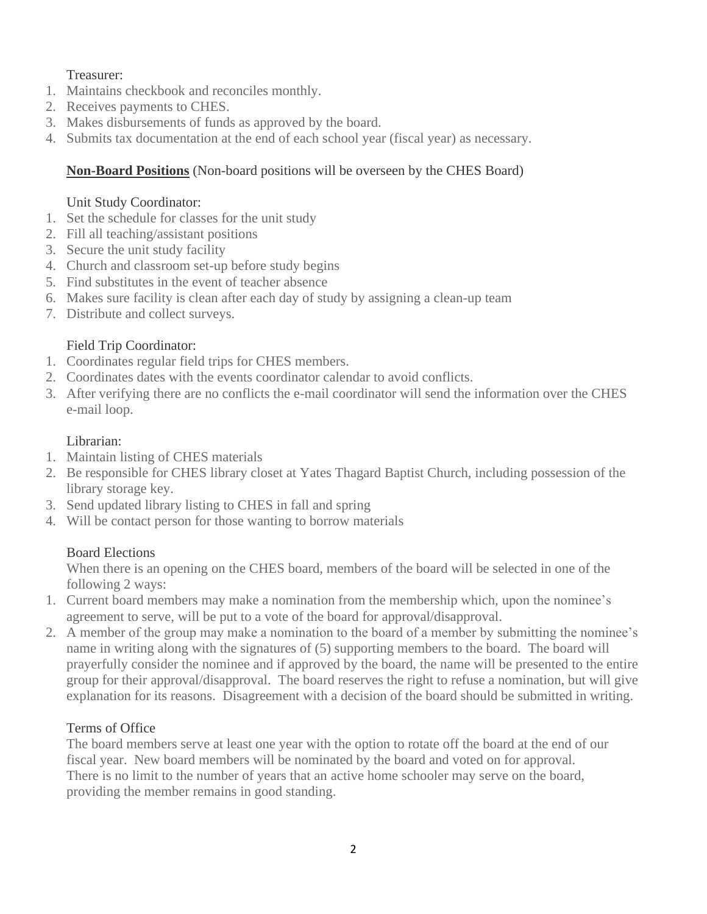# Treasurer:

- 1. Maintains checkbook and reconciles monthly.
- 2. Receives payments to CHES.
- 3. Makes disbursements of funds as approved by the board.
- 4. Submits tax documentation at the end of each school year (fiscal year) as necessary.

# **Non-Board Positions** (Non-board positions will be overseen by the CHES Board)

## Unit Study Coordinator:

- 1. Set the schedule for classes for the unit study
- 2. Fill all teaching/assistant positions
- 3. Secure the unit study facility
- 4. Church and classroom set-up before study begins
- 5. Find substitutes in the event of teacher absence
- 6. Makes sure facility is clean after each day of study by assigning a clean-up team
- 7. Distribute and collect surveys.

# Field Trip Coordinator:

- 1. Coordinates regular field trips for CHES members.
- 2. Coordinates dates with the events coordinator calendar to avoid conflicts.
- 3. After verifying there are no conflicts the e-mail coordinator will send the information over the CHES e-mail loop.

## Librarian:

- 1. Maintain listing of CHES materials
- 2. Be responsible for CHES library closet at Yates Thagard Baptist Church, including possession of the library storage key.
- 3. Send updated library listing to CHES in fall and spring
- 4. Will be contact person for those wanting to borrow materials

# Board Elections

When there is an opening on the CHES board, members of the board will be selected in one of the following 2 ways:

- 1. Current board members may make a nomination from the membership which, upon the nominee's agreement to serve, will be put to a vote of the board for approval/disapproval.
- 2. A member of the group may make a nomination to the board of a member by submitting the nominee's name in writing along with the signatures of (5) supporting members to the board. The board will prayerfully consider the nominee and if approved by the board, the name will be presented to the entire group for their approval/disapproval. The board reserves the right to refuse a nomination, but will give explanation for its reasons. Disagreement with a decision of the board should be submitted in writing.

# Terms of Office

The board members serve at least one year with the option to rotate off the board at the end of our fiscal year. New board members will be nominated by the board and voted on for approval. There is no limit to the number of years that an active home schooler may serve on the board, providing the member remains in good standing.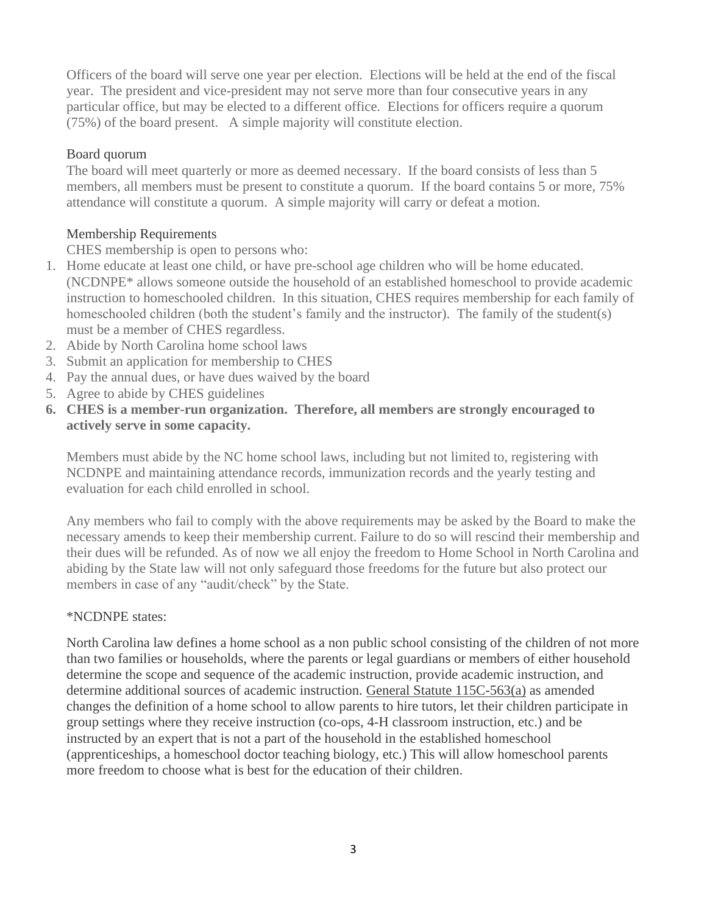Officers of the board will serve one year per election. Elections will be held at the end of the fiscal year. The president and vice-president may not serve more than four consecutive years in any particular office, but may be elected to a different office. Elections for officers require a quorum (75%) of the board present. A simple majority will constitute election.

### Board quorum

The board will meet quarterly or more as deemed necessary. If the board consists of less than 5 members, all members must be present to constitute a quorum. If the board contains 5 or more, 75% attendance will constitute a quorum. A simple majority will carry or defeat a motion.

### Membership Requirements

CHES membership is open to persons who:

- 1. Home educate at least one child, or have pre-school age children who will be home educated. (NCDNPE\* allows someone outside the household of an established homeschool to provide academic instruction to homeschooled children. In this situation, CHES requires membership for each family of homeschooled children (both the student's family and the instructor). The family of the student(s) must be a member of CHES regardless.
- 2. Abide by North Carolina home school laws
- 3. Submit an application for membership to CHES
- 4. Pay the annual dues, or have dues waived by the board
- 5. Agree to abide by CHES guidelines
- **6. CHES is a member-run organization. Therefore, all members are strongly encouraged to actively serve in some capacity.**

Members must abide by the NC home school laws, including but not limited to, registering with NCDNPE and maintaining attendance records, immunization records and the yearly testing and evaluation for each child enrolled in school.

Any members who fail to comply with the above requirements may be asked by the Board to make the necessary amends to keep their membership current. Failure to do so will rescind their membership and their dues will be refunded. As of now we all enjoy the freedom to Home School in North Carolina and abiding by the State law will not only safeguard those freedoms for the future but also protect our members in case of any "audit/check" by the State.

#### \*NCDNPE states:

North Carolina law defines a home school as a non public school consisting of the children of not more than two families or households, where the parents or legal guardians or members of either household determine the scope and sequence of the academic instruction, provide academic instruction, and determine additional sources of academic instruction. [General Statute 115C-563\(a\)](http://www.ncga.state.nc.us/EnactedLegislation/Statutes/HTML/BySection/Chapter_115C/GS_115C-563.html) as amended changes the definition of a home school to allow parents to hire tutors, let their children participate in group settings where they receive instruction (co-ops, 4-H classroom instruction, etc.) and be instructed by an expert that is not a part of the household in the established homeschool (apprenticeships, a homeschool doctor teaching biology, etc.) This will allow homeschool parents more freedom to choose what is best for the education of their children.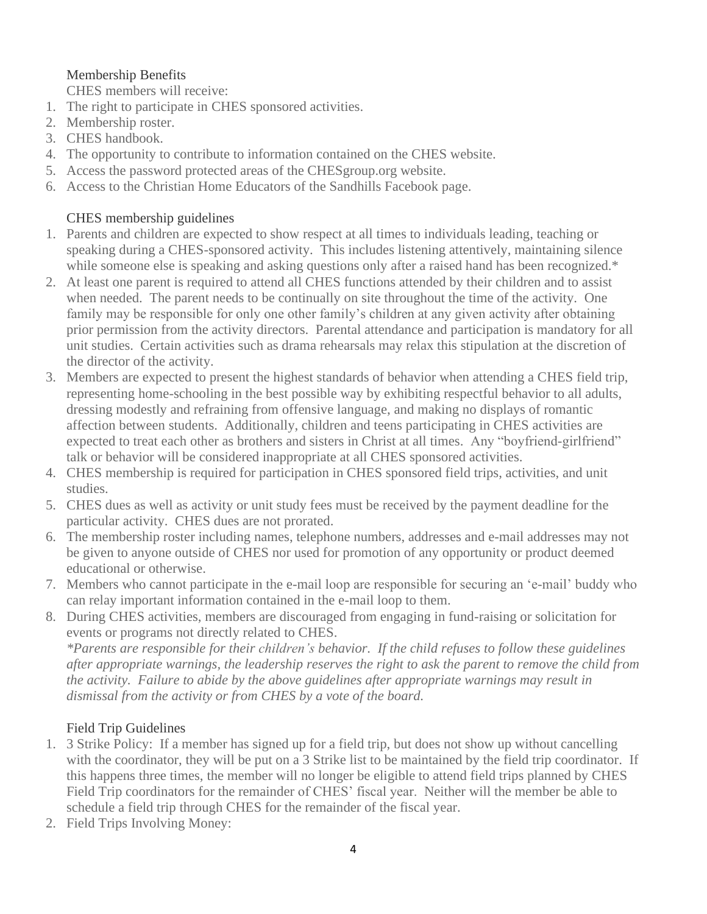# Membership Benefits

CHES members will receive:

- 1. The right to participate in CHES sponsored activities.
- 2. Membership roster.
- 3. CHES handbook.
- 4. The opportunity to contribute to information contained on the CHES website.
- 5. Access the password protected areas of the CHESgroup.org website.
- 6. Access to the Christian Home Educators of the Sandhills Facebook page.

## CHES membership guidelines

- 1. Parents and children are expected to show respect at all times to individuals leading, teaching or speaking during a CHES-sponsored activity. This includes listening attentively, maintaining silence while someone else is speaking and asking questions only after a raised hand has been recognized.\*
- 2. At least one parent is required to attend all CHES functions attended by their children and to assist when needed. The parent needs to be continually on site throughout the time of the activity. One family may be responsible for only one other family's children at any given activity after obtaining prior permission from the activity directors. Parental attendance and participation is mandatory for all unit studies. Certain activities such as drama rehearsals may relax this stipulation at the discretion of the director of the activity.
- 3. Members are expected to present the highest standards of behavior when attending a CHES field trip, representing home-schooling in the best possible way by exhibiting respectful behavior to all adults, dressing modestly and refraining from offensive language, and making no displays of romantic affection between students. Additionally, children and teens participating in CHES activities are expected to treat each other as brothers and sisters in Christ at all times. Any "boyfriend-girlfriend" talk or behavior will be considered inappropriate at all CHES sponsored activities.
- 4. CHES membership is required for participation in CHES sponsored field trips, activities, and unit studies.
- 5. CHES dues as well as activity or unit study fees must be received by the payment deadline for the particular activity. CHES dues are not prorated.
- 6. The membership roster including names, telephone numbers, addresses and e-mail addresses may not be given to anyone outside of CHES nor used for promotion of any opportunity or product deemed educational or otherwise.
- 7. Members who cannot participate in the e-mail loop are responsible for securing an 'e-mail' buddy who can relay important information contained in the e-mail loop to them.
- 8. During CHES activities, members are discouraged from engaging in fund-raising or solicitation for events or programs not directly related to CHES.

*\*Parents are responsible for their children's behavior. If the child refuses to follow these guidelines after appropriate warnings, the leadership reserves the right to ask the parent to remove the child from the activity. Failure to abide by the above guidelines after appropriate warnings may result in dismissal from the activity or from CHES by a vote of the board.*

# Field Trip Guidelines

- 1. 3 Strike Policy: If a member has signed up for a field trip, but does not show up without cancelling with the coordinator, they will be put on a 3 Strike list to be maintained by the field trip coordinator. If this happens three times, the member will no longer be eligible to attend field trips planned by CHES Field Trip coordinators for the remainder of CHES' fiscal year. Neither will the member be able to schedule a field trip through CHES for the remainder of the fiscal year.
- 2. Field Trips Involving Money: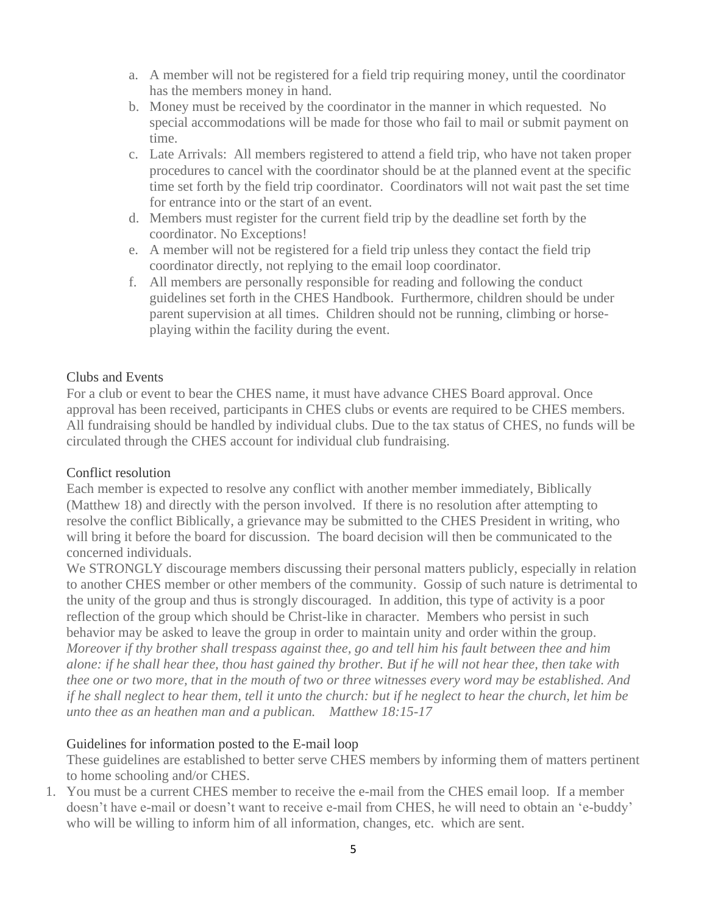- a. A member will not be registered for a field trip requiring money, until the coordinator has the members money in hand.
- b. Money must be received by the coordinator in the manner in which requested. No special accommodations will be made for those who fail to mail or submit payment on time.
- c. Late Arrivals: All members registered to attend a field trip, who have not taken proper procedures to cancel with the coordinator should be at the planned event at the specific time set forth by the field trip coordinator. Coordinators will not wait past the set time for entrance into or the start of an event.
- d. Members must register for the current field trip by the deadline set forth by the coordinator. No Exceptions!
- e. A member will not be registered for a field trip unless they contact the field trip coordinator directly, not replying to the email loop coordinator.
- f. All members are personally responsible for reading and following the conduct guidelines set forth in the CHES Handbook. Furthermore, children should be under parent supervision at all times. Children should not be running, climbing or horseplaying within the facility during the event.

#### Clubs and Events

For a club or event to bear the CHES name, it must have advance CHES Board approval. Once approval has been received, participants in CHES clubs or events are required to be CHES members. All fundraising should be handled by individual clubs. Due to the tax status of CHES, no funds will be circulated through the CHES account for individual club fundraising.

#### Conflict resolution

Each member is expected to resolve any conflict with another member immediately, Biblically (Matthew 18) and directly with the person involved. If there is no resolution after attempting to resolve the conflict Biblically, a grievance may be submitted to the CHES President in writing, who will bring it before the board for discussion. The board decision will then be communicated to the concerned individuals.

We STRONGLY discourage members discussing their personal matters publicly, especially in relation to another CHES member or other members of the community. Gossip of such nature is detrimental to the unity of the group and thus is strongly discouraged. In addition, this type of activity is a poor reflection of the group which should be Christ-like in character. Members who persist in such behavior may be asked to leave the group in order to maintain unity and order within the group. Moreover if thy brother shall trespass against thee, go and tell him his fault between thee and him alone: if he shall hear thee, thou hast gained thy brother. But if he will not hear thee, then take with thee one or two more, that in the mouth of two or three witnesses every word may be established. And if he shall neglect to hear them, tell it unto the church: but if he neglect to hear the church, let him be *unto thee as an heathen man and a publican. Matthew 18:15-17*

#### Guidelines for information posted to the E-mail loop

These guidelines are established to better serve CHES members by informing them of matters pertinent to home schooling and/or CHES.

1. You must be a current CHES member to receive the e-mail from the CHES email loop. If a member doesn't have e-mail or doesn't want to receive e-mail from CHES, he will need to obtain an 'e-buddy' who will be willing to inform him of all information, changes, etc. which are sent.